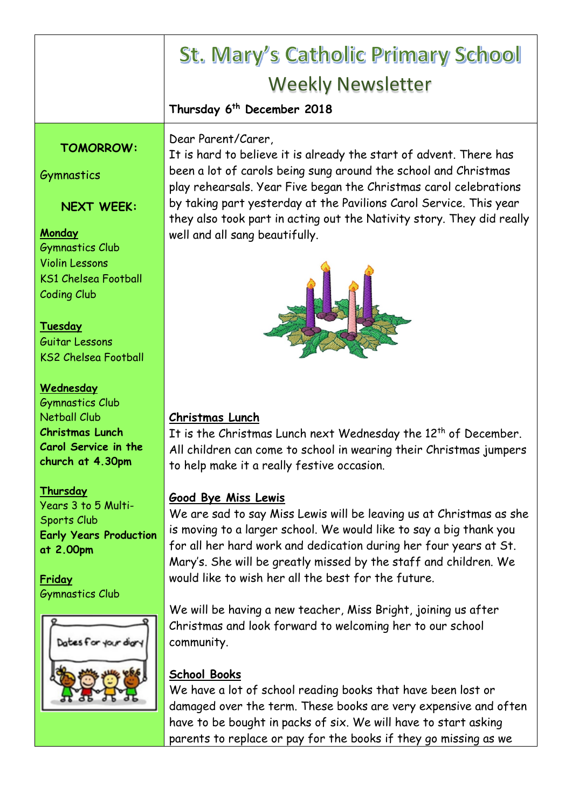|                                               | <b>St. Mary's Catholic Primary School</b>                                                                                                   |
|-----------------------------------------------|---------------------------------------------------------------------------------------------------------------------------------------------|
|                                               | <b>Weekly Newsletter</b>                                                                                                                    |
|                                               | Thursday 6 <sup>th</sup> December 2018                                                                                                      |
|                                               |                                                                                                                                             |
| <b>TOMORROW:</b>                              | Dear Parent/Carer,<br>It is hard to believe it is already the start of advent. There has                                                    |
| Gymnastics                                    | been a lot of carols being sung around the school and Christmas<br>play rehearsals. Year Five began the Christmas carol celebrations        |
| <b>NEXT WEEK:</b>                             | by taking part yesterday at the Pavilions Carol Service. This year<br>they also took part in acting out the Nativity story. They did really |
| <b>Monday</b><br><b>Gymnastics Club</b>       | well and all sang beautifully.                                                                                                              |
| <b>Violin Lessons</b>                         |                                                                                                                                             |
| <b>KS1 Chelsea Football</b>                   |                                                                                                                                             |
| <b>Coding Club</b>                            |                                                                                                                                             |
| <b>Tuesday</b>                                |                                                                                                                                             |
| Guitar Lessons                                |                                                                                                                                             |
| <b>KS2 Chelsea Football</b>                   |                                                                                                                                             |
| <b>Wednesday</b>                              |                                                                                                                                             |
| <b>Gymnastics Club</b>                        |                                                                                                                                             |
| <b>Netball Club</b><br><b>Christmas Lunch</b> | Christmas Lunch                                                                                                                             |
| <b>Carol Service in the</b>                   | It is the Christmas Lunch next Wednesday the $12th$ of December.<br>All children can come to school in wearing their Christmas jumpers      |
| church at 4.30pm                              | to help make it a really festive occasion.                                                                                                  |
| Thursday                                      |                                                                                                                                             |
| Years 3 to 5 Multi-                           | Good Bye Miss Lewis                                                                                                                         |
| Sports Club                                   | We are sad to say Miss Lewis will be leaving us at Christmas as she                                                                         |
| <b>Early Years Production</b>                 | is moving to a larger school. We would like to say a big thank you<br>for all her hard work and dedication during her four years at St.     |
| at 2.00pm                                     | Mary's. She will be greatly missed by the staff and children. We                                                                            |
| Friday                                        | would like to wish her all the best for the future.                                                                                         |
| <b>Gymnastics Club</b>                        |                                                                                                                                             |
|                                               | We will be having a new teacher, Miss Bright, joining us after                                                                              |
| Dates for your diary                          | Christmas and look forward to welcoming her to our school                                                                                   |
|                                               | community.                                                                                                                                  |
|                                               | <b>School Books</b>                                                                                                                         |
|                                               | We have a lot of school reading books that have been lost or                                                                                |
|                                               | damaged over the term. These books are very expensive and often                                                                             |
|                                               | have to be bought in packs of six. We will have to start asking                                                                             |
|                                               | parents to replace or pay for the books if they go missing as we                                                                            |
|                                               |                                                                                                                                             |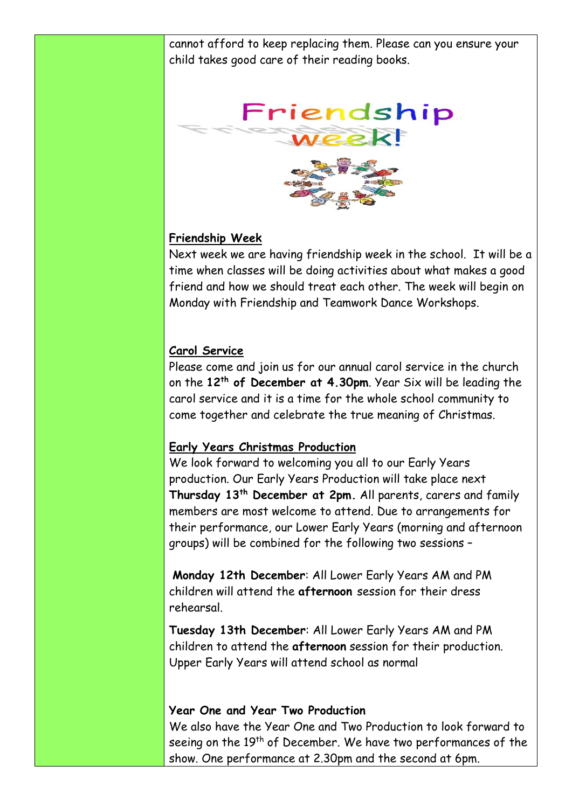cannot afford to keep replacing them. Please can you ensure your child takes good care of their reading books.



## **Friendship Week**

Next week we are having friendship week in the school. It will be a time when classes will be doing activities about what makes a good friend and how we should treat each other. The week will begin on Monday with Friendship and Teamwork Dance Workshops.

## **Carol Service**

Please come and join us for our annual carol service in the church on the **12th of December at 4.30pm**. Year Six will be leading the carol service and it is a time for the whole school community to come together and celebrate the true meaning of Christmas.

## **Early Years Christmas Production**

We look forward to welcoming you all to our Early Years production. Our Early Years Production will take place next **Thursday 13th December at 2pm.** All parents, carers and family members are most welcome to attend. Due to arrangements for their performance, our Lower Early Years (morning and afternoon groups) will be combined for the following two sessions –

**Monday 12th December**: All Lower Early Years AM and PM children will attend the **afternoon** session for their dress rehearsal.

**Tuesday 13th December**: All Lower Early Years AM and PM children to attend the **afternoon** session for their production. Upper Early Years will attend school as normal

### **Year One and Year Two Production**

We also have the Year One and Two Production to look forward to seeing on the 19<sup>th</sup> of December. We have two performances of the show. One performance at 2.30pm and the second at 6pm.